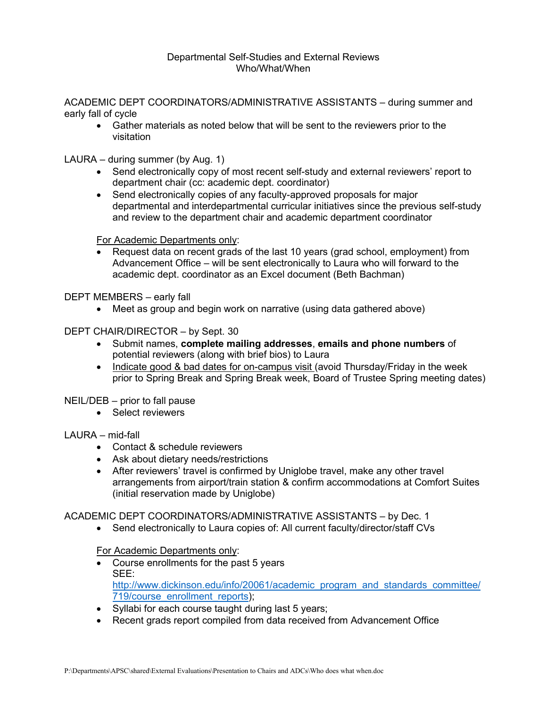#### Departmental Self-Studies and External Reviews Who/What/When

ACADEMIC DEPT COORDINATORS/ADMINISTRATIVE ASSISTANTS – during summer and early fall of cycle

• Gather materials as noted below that will be sent to the reviewers prior to the visitation

LAURA – during summer (by Aug. 1)

- Send electronically copy of most recent self-study and external reviewers' report to department chair (cc: academic dept. coordinator)
- Send electronically copies of any faculty-approved proposals for major departmental and interdepartmental curricular initiatives since the previous self-study and review to the department chair and academic department coordinator

For Academic Departments only:

• Request data on recent grads of the last 10 years (grad school, employment) from Advancement Office – will be sent electronically to Laura who will forward to the academic dept. coordinator as an Excel document (Beth Bachman)

DEPT MEMBERS – early fall

• Meet as group and begin work on narrative (using data gathered above)

DEPT CHAIR/DIRECTOR – by Sept. 30

- Submit names, **complete mailing addresses**, **emails and phone numbers** of potential reviewers (along with brief bios) to Laura
- Indicate good & bad dates for on-campus visit (avoid Thursday/Friday in the week prior to Spring Break and Spring Break week, Board of Trustee Spring meeting dates)

NEIL/DEB – prior to fall pause

• Select reviewers

# LAURA – mid-fall

- Contact & schedule reviewers
- Ask about dietary needs/restrictions
- After reviewers' travel is confirmed by Uniglobe travel, make any other travel arrangements from airport/train station & confirm accommodations at Comfort Suites (initial reservation made by Uniglobe)

# ACADEMIC DEPT COORDINATORS/ADMINISTRATIVE ASSISTANTS – by Dec. 1

• Send electronically to Laura copies of: All current faculty/director/staff CVs

For Academic Departments only:

- Course enrollments for the past 5 years SEE: [http://www.dickinson.edu/info/20061/academic\\_program\\_and\\_standards\\_committee/](http://www.dickinson.edu/info/20061/academic_program_and_standards_committee/719/course_enrollment_reports) [719/course\\_enrollment\\_reports\)](http://www.dickinson.edu/info/20061/academic_program_and_standards_committee/719/course_enrollment_reports);
- Syllabi for each course taught during last 5 years;
- Recent grads report compiled from data received from Advancement Office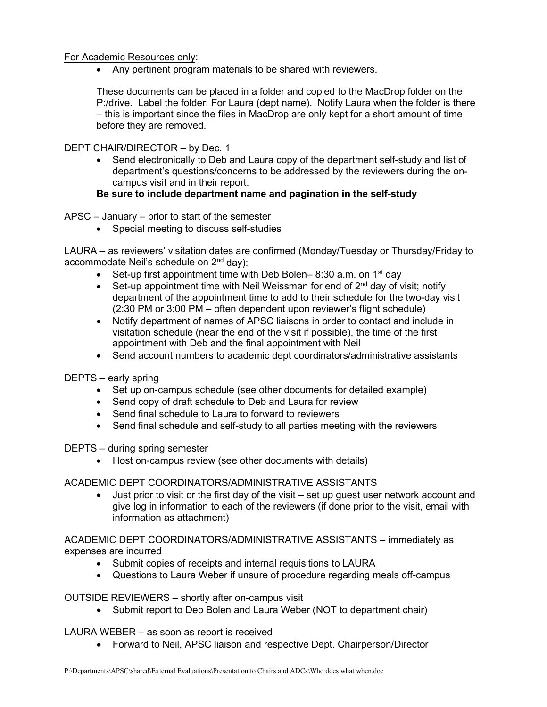### For Academic Resources only:

• Any pertinent program materials to be shared with reviewers.

These documents can be placed in a folder and copied to the MacDrop folder on the P:/drive. Label the folder: For Laura (dept name). Notify Laura when the folder is there – this is important since the files in MacDrop are only kept for a short amount of time before they are removed.

DEPT CHAIR/DIRECTOR – by Dec. 1

• Send electronically to Deb and Laura copy of the department self-study and list of department's questions/concerns to be addressed by the reviewers during the oncampus visit and in their report.

# **Be sure to include department name and pagination in the self-study**

APSC – January – prior to start of the semester

• Special meeting to discuss self-studies

LAURA – as reviewers' visitation dates are confirmed (Monday/Tuesday or Thursday/Friday to accommodate Neil's schedule on 2nd day):

- Set-up first appointment time with Deb Bolen– 8:30 a.m. on  $1<sup>st</sup>$  day
- Set-up appointment time with Neil Weissman for end of  $2^{nd}$  day of visit; notify department of the appointment time to add to their schedule for the two-day visit (2:30 PM or 3:00 PM – often dependent upon reviewer's flight schedule)
- Notify department of names of APSC liaisons in order to contact and include in visitation schedule (near the end of the visit if possible), the time of the first appointment with Deb and the final appointment with Neil
- Send account numbers to academic dept coordinators/administrative assistants

DEPTS – early spring

- Set up on-campus schedule (see other documents for detailed example)
- Send copy of draft schedule to Deb and Laura for review
- Send final schedule to Laura to forward to reviewers
- Send final schedule and self-study to all parties meeting with the reviewers

DEPTS – during spring semester

• Host on-campus review (see other documents with details)

# ACADEMIC DEPT COORDINATORS/ADMINISTRATIVE ASSISTANTS

• Just prior to visit or the first day of the visit – set up guest user network account and give log in information to each of the reviewers (if done prior to the visit, email with information as attachment)

ACADEMIC DEPT COORDINATORS/ADMINISTRATIVE ASSISTANTS – immediately as expenses are incurred

- Submit copies of receipts and internal requisitions to LAURA
- Questions to Laura Weber if unsure of procedure regarding meals off-campus

# OUTSIDE REVIEWERS – shortly after on-campus visit

• Submit report to Deb Bolen and Laura Weber (NOT to department chair)

LAURA WEBER – as soon as report is received

• Forward to Neil, APSC liaison and respective Dept. Chairperson/Director